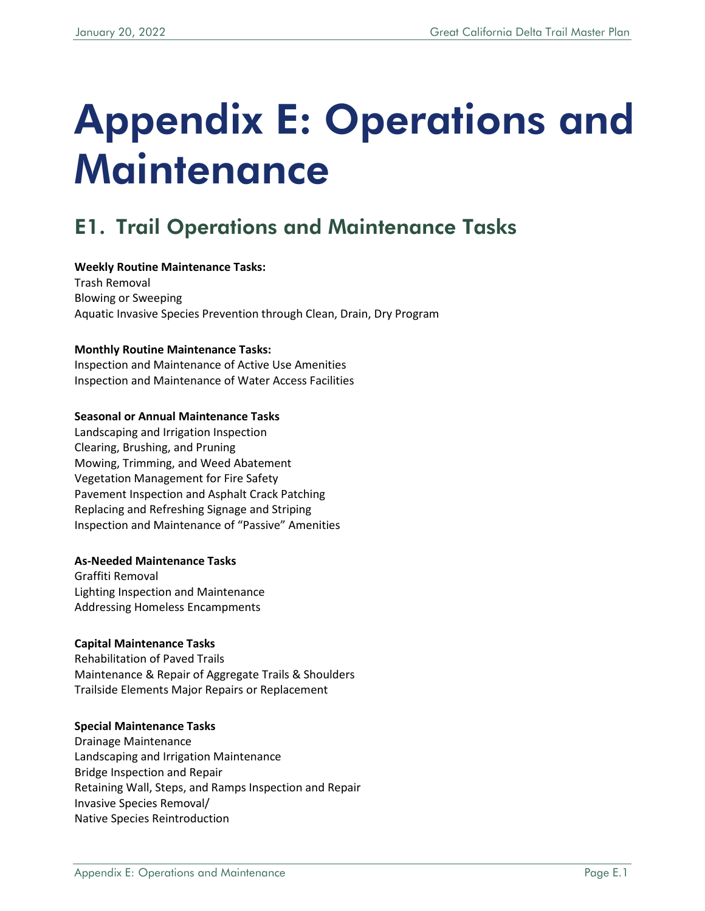# Appendix E: Operations and **Maintenance**

# E1. Trail Operations and Maintenance Tasks

#### **Weekly Routine Maintenance Tasks:**

Trash Removal Blowing or Sweeping Aquatic Invasive Species Prevention through Clean, Drain, Dry Program

#### **Monthly Routine Maintenance Tasks:**

Inspection and Maintenance of Active Use Amenities Inspection and Maintenance of Water Access Facilities

#### **Seasonal or Annual Maintenance Tasks**

Landscaping and Irrigation Inspection Clearing, Brushing, and Pruning Mowing, Trimming, and Weed Abatement Vegetation Management for Fire Safety Pavement Inspection and Asphalt Crack Patching Replacing and Refreshing Signage and Striping Inspection and Maintenance of "Passive" Amenities

#### **As-Needed Maintenance Tasks**

Graffiti Removal Lighting Inspection and Maintenance Addressing Homeless Encampments

#### **Capital Maintenance Tasks**

Rehabilitation of Paved Trails Maintenance & Repair of Aggregate Trails & Shoulders Trailside Elements Major Repairs or Replacement

#### **Special Maintenance Tasks**

Drainage Maintenance Landscaping and Irrigation Maintenance Bridge Inspection and Repair Retaining Wall, Steps, and Ramps Inspection and Repair Invasive Species Removal/ Native Species Reintroduction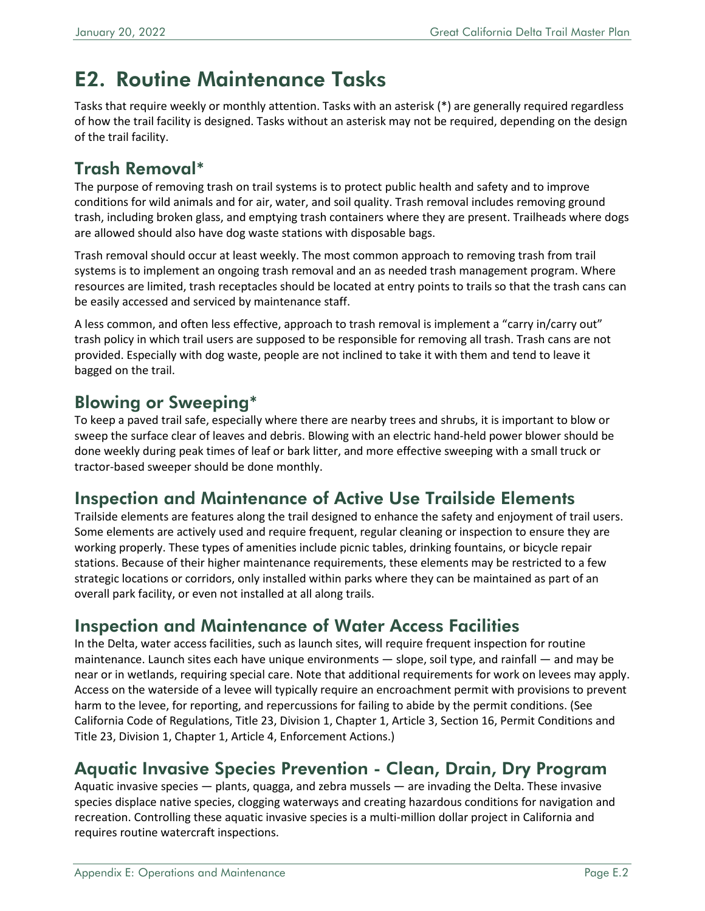# E2. Routine Maintenance Tasks

Tasks that require weekly or monthly attention. Tasks with an asterisk (\*) are generally required regardless of how the trail facility is designed. Tasks without an asterisk may not be required, depending on the design of the trail facility.

## Trash Removal\*

The purpose of removing trash on trail systems is to protect public health and safety and to improve conditions for wild animals and for air, water, and soil quality. Trash removal includes removing ground trash, including broken glass, and emptying trash containers where they are present. Trailheads where dogs are allowed should also have dog waste stations with disposable bags.

Trash removal should occur at least weekly. The most common approach to removing trash from trail systems is to implement an ongoing trash removal and an as needed trash management program. Where resources are limited, trash receptacles should be located at entry points to trails so that the trash cans can be easily accessed and serviced by maintenance staff.

A less common, and often less effective, approach to trash removal is implement a "carry in/carry out" trash policy in which trail users are supposed to be responsible for removing all trash. Trash cans are not provided. Especially with dog waste, people are not inclined to take it with them and tend to leave it bagged on the trail.

### Blowing or Sweeping\*

To keep a paved trail safe, especially where there are nearby trees and shrubs, it is important to blow or sweep the surface clear of leaves and debris. Blowing with an electric hand-held power blower should be done weekly during peak times of leaf or bark litter, and more effective sweeping with a small truck or tractor-based sweeper should be done monthly.

### Inspection and Maintenance of Active Use Trailside Elements

Trailside elements are features along the trail designed to enhance the safety and enjoyment of trail users. Some elements are actively used and require frequent, regular cleaning or inspection to ensure they are working properly. These types of amenities include picnic tables, drinking fountains, or bicycle repair stations. Because of their higher maintenance requirements, these elements may be restricted to a few strategic locations or corridors, only installed within parks where they can be maintained as part of an overall park facility, or even not installed at all along trails.

### Inspection and Maintenance of Water Access Facilities

In the Delta, water access facilities, such as launch sites, will require frequent inspection for routine maintenance. Launch sites each have unique environments — slope, soil type, and rainfall — and may be near or in wetlands, requiring special care. Note that additional requirements for work on levees may apply. Access on the waterside of a levee will typically require an encroachment permit with provisions to prevent harm to the levee, for reporting, and repercussions for failing to abide by the permit conditions. (See California Code of Regulations, Title 23, Division 1, Chapter 1, Article 3, Section 16, Permit Conditions and Title 23, Division 1, Chapter 1, Article 4, Enforcement Actions.)

### Aquatic Invasive Species Prevention - Clean, Drain, Dry Program

Aquatic invasive species — plants, quagga, and zebra mussels — are invading the Delta. These invasive species displace native species, clogging waterways and creating hazardous conditions for navigation and recreation. Controlling these aquatic invasive species is a multi-million dollar project in California and requires routine watercraft inspections.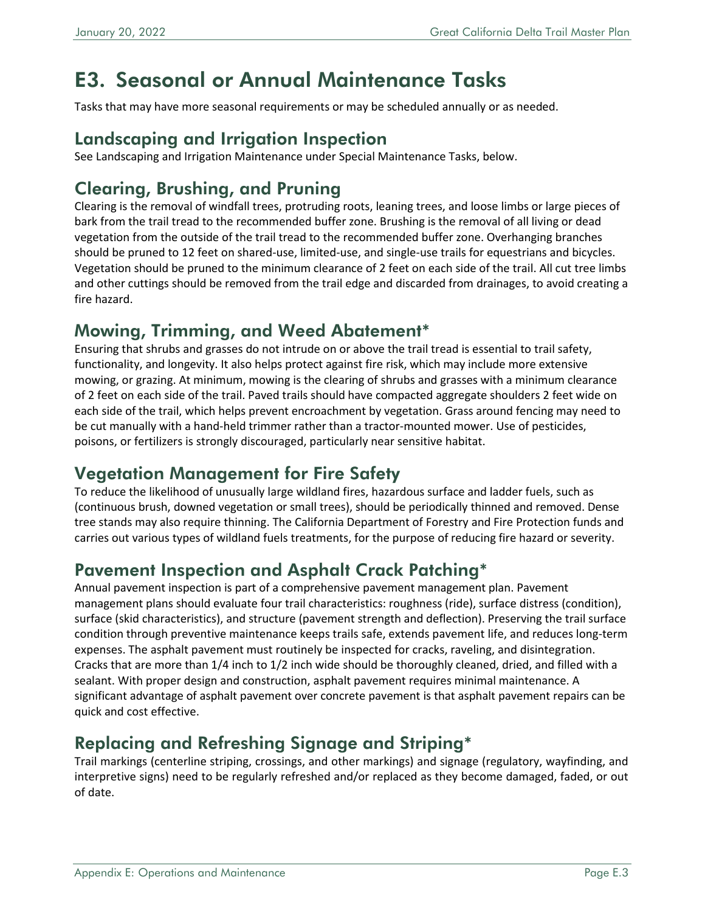# E3. Seasonal or Annual Maintenance Tasks

Tasks that may have more seasonal requirements or may be scheduled annually or as needed.

#### Landscaping and Irrigation Inspection

See Landscaping and Irrigation Maintenance under Special Maintenance Tasks, below.

## Clearing, Brushing, and Pruning

Clearing is the removal of windfall trees, protruding roots, leaning trees, and loose limbs or large pieces of bark from the trail tread to the recommended buffer zone. Brushing is the removal of all living or dead vegetation from the outside of the trail tread to the recommended buffer zone. Overhanging branches should be pruned to 12 feet on shared-use, limited-use, and single-use trails for equestrians and bicycles. Vegetation should be pruned to the minimum clearance of 2 feet on each side of the trail. All cut tree limbs and other cuttings should be removed from the trail edge and discarded from drainages, to avoid creating a fire hazard.

#### Mowing, Trimming, and Weed Abatement\*

Ensuring that shrubs and grasses do not intrude on or above the trail tread is essential to trail safety, functionality, and longevity. It also helps protect against fire risk, which may include more extensive mowing, or grazing. At minimum, mowing is the clearing of shrubs and grasses with a minimum clearance of 2 feet on each side of the trail. Paved trails should have compacted aggregate shoulders 2 feet wide on each side of the trail, which helps prevent encroachment by vegetation. Grass around fencing may need to be cut manually with a hand-held trimmer rather than a tractor-mounted mower. Use of pesticides, poisons, or fertilizers is strongly discouraged, particularly near sensitive habitat.

### Vegetation Management for Fire Safety

To reduce the likelihood of unusually large wildland fires, hazardous surface and ladder fuels, such as (continuous brush, downed vegetation or small trees), should be periodically thinned and removed. Dense tree stands may also require thinning. The California Department of Forestry and Fire Protection funds and carries out various types of wildland fuels treatments, for the purpose of reducing fire hazard or severity.

### Pavement Inspection and Asphalt Crack Patching\*

Annual pavement inspection is part of a comprehensive pavement management plan. Pavement management plans should evaluate four trail characteristics: roughness (ride), surface distress (condition), surface (skid characteristics), and structure (pavement strength and deflection). Preserving the trail surface condition through preventive maintenance keeps trails safe, extends pavement life, and reduces long-term expenses. The asphalt pavement must routinely be inspected for cracks, raveling, and disintegration. Cracks that are more than 1/4 inch to 1/2 inch wide should be thoroughly cleaned, dried, and filled with a sealant. With proper design and construction, asphalt pavement requires minimal maintenance. A significant advantage of asphalt pavement over concrete pavement is that asphalt pavement repairs can be quick and cost effective.

## Replacing and Refreshing Signage and Striping\*

Trail markings (centerline striping, crossings, and other markings) and signage (regulatory, wayfinding, and interpretive signs) need to be regularly refreshed and/or replaced as they become damaged, faded, or out of date.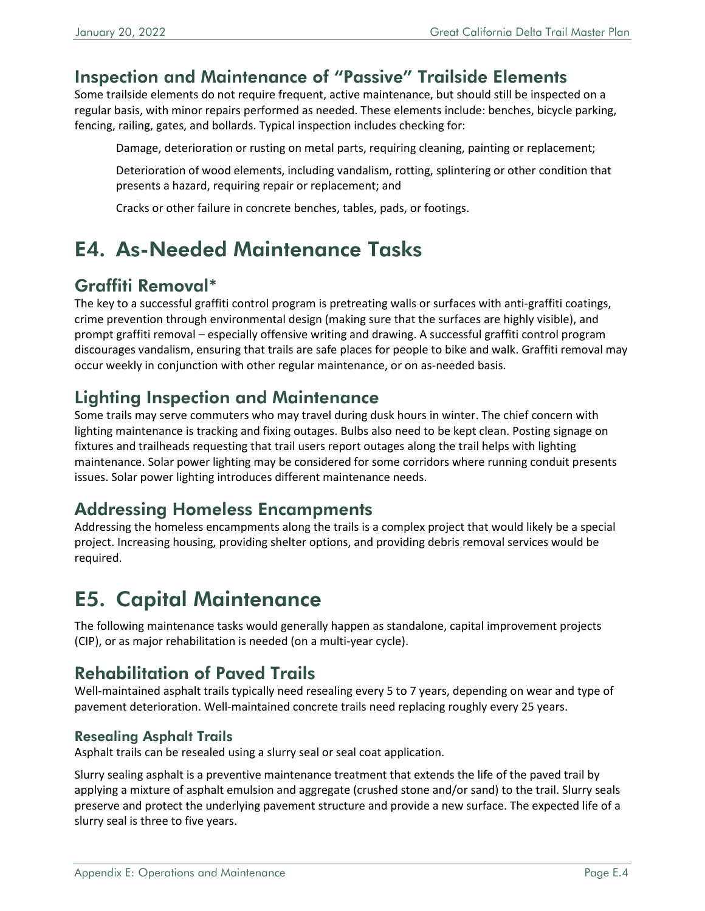#### Inspection and Maintenance of "Passive" Trailside Elements

Some trailside elements do not require frequent, active maintenance, but should still be inspected on a regular basis, with minor repairs performed as needed. These elements include: benches, bicycle parking, fencing, railing, gates, and bollards. Typical inspection includes checking for:

Damage, deterioration or rusting on metal parts, requiring cleaning, painting or replacement;

Deterioration of wood elements, including vandalism, rotting, splintering or other condition that presents a hazard, requiring repair or replacement; and

Cracks or other failure in concrete benches, tables, pads, or footings.

# E4. As-Needed Maintenance Tasks

### Graffiti Removal\*

The key to a successful graffiti control program is pretreating walls or surfaces with anti-graffiti coatings, crime prevention through environmental design (making sure that the surfaces are highly visible), and prompt graffiti removal – especially offensive writing and drawing. A successful graffiti control program discourages vandalism, ensuring that trails are safe places for people to bike and walk. Graffiti removal may occur weekly in conjunction with other regular maintenance, or on as-needed basis.

#### Lighting Inspection and Maintenance

Some trails may serve commuters who may travel during dusk hours in winter. The chief concern with lighting maintenance is tracking and fixing outages. Bulbs also need to be kept clean. Posting signage on fixtures and trailheads requesting that trail users report outages along the trail helps with lighting maintenance. Solar power lighting may be considered for some corridors where running conduit presents issues. Solar power lighting introduces different maintenance needs.

#### Addressing Homeless Encampments

Addressing the homeless encampments along the trails is a complex project that would likely be a special project. Increasing housing, providing shelter options, and providing debris removal services would be required.

# E5. Capital Maintenance

The following maintenance tasks would generally happen as standalone, capital improvement projects (CIP), or as major rehabilitation is needed (on a multi-year cycle).

## Rehabilitation of Paved Trails

Well-maintained asphalt trails typically need resealing every 5 to 7 years, depending on wear and type of pavement deterioration. Well-maintained concrete trails need replacing roughly every 25 years.

#### Resealing Asphalt Trails

Asphalt trails can be resealed using a slurry seal or seal coat application.

Slurry sealing asphalt is a preventive maintenance treatment that extends the life of the paved trail by applying a mixture of asphalt emulsion and aggregate (crushed stone and/or sand) to the trail. Slurry seals preserve and protect the underlying pavement structure and provide a new surface. The expected life of a slurry seal is three to five years.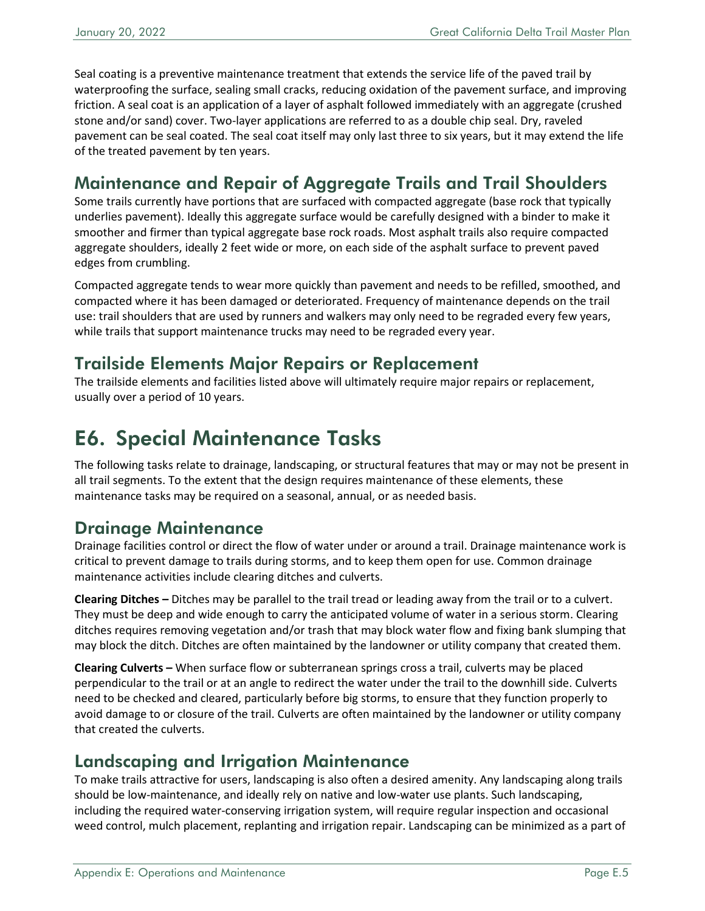Seal coating is a preventive maintenance treatment that extends the service life of the paved trail by waterproofing the surface, sealing small cracks, reducing oxidation of the pavement surface, and improving friction. A seal coat is an application of a layer of asphalt followed immediately with an aggregate (crushed stone and/or sand) cover. Two-layer applications are referred to as a double chip seal. Dry, raveled pavement can be seal coated. The seal coat itself may only last three to six years, but it may extend the life of the treated pavement by ten years.

## Maintenance and Repair of Aggregate Trails and Trail Shoulders

Some trails currently have portions that are surfaced with compacted aggregate (base rock that typically underlies pavement). Ideally this aggregate surface would be carefully designed with a binder to make it smoother and firmer than typical aggregate base rock roads. Most asphalt trails also require compacted aggregate shoulders, ideally 2 feet wide or more, on each side of the asphalt surface to prevent paved edges from crumbling.

Compacted aggregate tends to wear more quickly than pavement and needs to be refilled, smoothed, and compacted where it has been damaged or deteriorated. Frequency of maintenance depends on the trail use: trail shoulders that are used by runners and walkers may only need to be regraded every few years, while trails that support maintenance trucks may need to be regraded every year.

#### Trailside Elements Major Repairs or Replacement

The trailside elements and facilities listed above will ultimately require major repairs or replacement, usually over a period of 10 years.

# E6. Special Maintenance Tasks

The following tasks relate to drainage, landscaping, or structural features that may or may not be present in all trail segments. To the extent that the design requires maintenance of these elements, these maintenance tasks may be required on a seasonal, annual, or as needed basis.

#### Drainage Maintenance

Drainage facilities control or direct the flow of water under or around a trail. Drainage maintenance work is critical to prevent damage to trails during storms, and to keep them open for use. Common drainage maintenance activities include clearing ditches and culverts.

**Clearing Ditches –** Ditches may be parallel to the trail tread or leading away from the trail or to a culvert. They must be deep and wide enough to carry the anticipated volume of water in a serious storm. Clearing ditches requires removing vegetation and/or trash that may block water flow and fixing bank slumping that may block the ditch. Ditches are often maintained by the landowner or utility company that created them.

**Clearing Culverts –** When surface flow or subterranean springs cross a trail, culverts may be placed perpendicular to the trail or at an angle to redirect the water under the trail to the downhill side. Culverts need to be checked and cleared, particularly before big storms, to ensure that they function properly to avoid damage to or closure of the trail. Culverts are often maintained by the landowner or utility company that created the culverts.

#### Landscaping and Irrigation Maintenance

To make trails attractive for users, landscaping is also often a desired amenity. Any landscaping along trails should be low-maintenance, and ideally rely on native and low-water use plants. Such landscaping, including the required water-conserving irrigation system, will require regular inspection and occasional weed control, mulch placement, replanting and irrigation repair. Landscaping can be minimized as a part of